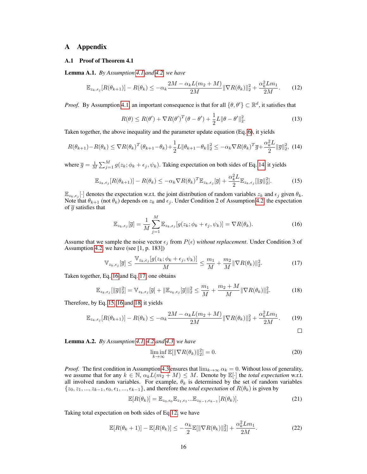## A Appendix

#### A.1 Proof of Theorem 4.1

Lemma A.1. *By Assumption [4.1](#page--1-0) and [4.2,](#page--1-1) we have*

$$
\mathbb{E}_{z_k, \epsilon_j} [R(\theta_{k+1})] - R(\theta_k) \le -\alpha_k \frac{2M - \alpha_k L(m_2 + M)}{2M} \|\nabla R(\theta_k)\|_2^2 + \frac{\alpha_k^2 L m_1}{2M}.\tag{12}
$$

*Proof.* By Assumption [4.1,](#page--1-0) an important consequence is that for all  $\{\theta, \theta'\} \subset \mathbb{R}^d$ , it satisfies that

<span id="page-0-5"></span><span id="page-0-0"></span>
$$
R(\theta) \le R(\theta') + \nabla R(\theta')^T (\theta - \theta') + \frac{1}{2}L \|\theta - \theta'\|_2^2.
$$
 (13)

Taken together, the above inequality and the parameter update equation (Eq. [6\)](#page--1-2), it yields

$$
R(\theta_{k+1}) - R(\theta_k) \le \nabla R(\theta_k)^T (\theta_{k+1} - \theta_k) + \frac{1}{2} L \|\theta_{k+1} - \theta_k\|_2^2 \le -\alpha_k \nabla R(\theta_k)^T \overline{g} + \frac{\alpha_k^2 L}{2} \|\overline{g}\|_2^2, \tag{14}
$$

where  $\bar{g} = \frac{1}{M} \sum_{j=1}^{M} g(z_k; \phi_k + \epsilon_j, \psi_k)$ . Taking expectation on both sides of Eq. [14,](#page-0-0) it yields

$$
\mathbb{E}_{z_k, \epsilon_j}[R(\theta_{k+1})] - R(\theta_k) \le -\alpha_k \nabla R(\theta_k)^T \mathbb{E}_{z_k, \epsilon_j}[\overline{g}] + \frac{\alpha_k^2 L}{2} \mathbb{E}_{z_k, \epsilon_j}[\|\overline{g}\|_2^2].
$$
 (15)

 $\mathbb{E}_{z_k,\epsilon_j}[\cdot]$  denotes the expectation w.r.t. the joint distribution of random variables  $z_k$  and  $\epsilon_j$  given  $\theta_k$ . Note that  $\theta_{k+1}$  (not  $\theta_k$ ) depends on  $z_k$  and  $\epsilon_j$ . Under Condition 2 of Assumption [4.2,](#page--1-1) the expectation of  $\overline{g}$  satisfies that

<span id="page-0-2"></span><span id="page-0-1"></span>
$$
\mathbb{E}_{z_k, \epsilon_j}[\overline{g}] = \frac{1}{M} \sum_{j=1}^{M} \mathbb{E}_{z_k, \epsilon_j}[g(z_k; \phi_k + \epsilon_j, \psi_k)] = \nabla R(\theta_k). \tag{16}
$$

Assume that we sample the noise vector  $\epsilon_j$  from  $P(\epsilon)$  *without replacement*. Under Condition 3 of Assumption [4.2,](#page--1-1) we have (see [1, p. 183])

<span id="page-0-4"></span>
$$
\mathbb{V}_{z_k, \epsilon_j}[\overline{g}] \le \frac{\mathbb{V}_{z_k, \epsilon_j}[g(z_k; \phi_k + \epsilon_j, \psi_k)]}{M} \le \frac{m_1}{M} + \frac{m_2}{M} \|\nabla R(\theta_k)\|_2^2.
$$
 (17)

Taken together, Eq. [16](#page-0-1) and Eq. [17,](#page-0-2) one obtains

$$
\mathbb{E}_{z_k, \epsilon_j}[\|\overline{g}\|_2^2] = \mathbb{V}_{z_k, \epsilon_j}[\overline{g}] + \|\mathbb{E}_{z_k, \epsilon_j}[\overline{g}]\|_2^2 \le \frac{m_1}{M} + \frac{m_2 + M}{M} \|\nabla R(\theta_k)\|_2^2.
$$
 (18)

Therefore, by Eq. [15,](#page-0-3) [16](#page-0-1) and [18,](#page-0-4) it yields

$$
\mathbb{E}_{z_k, \epsilon_j} [R(\theta_{k+1})] - R(\theta_k) \le -\alpha_k \frac{2M - \alpha_k L(m_2 + M)}{2M} \|\nabla R(\theta_k)\|_2^2 + \frac{\alpha_k^2 L m_1}{2M}.\tag{19}
$$

<span id="page-0-3"></span>
$$
\Box
$$

<span id="page-0-6"></span>Lemma A.2. *By Assumption [4.1,](#page--1-0) [4.2](#page--1-1) and [4.3,](#page--1-3) we have*

$$
\liminf_{k \to \infty} \mathbb{E}[\|\nabla R(\theta_k)\|_2^2] = 0.
$$
\n(20)

*Proof.* The first condition in Assumption [4.3](#page--1-3) ensures that  $\lim_{k\to\infty} \alpha_k = 0$ . Without loss of generality, we assume that for any  $k \in \mathbb{N}$ ,  $\alpha_k L(m_2 + M) \leq M$ . Denote by  $\mathbb{E}[\cdot]$  the *total expectation* w.r.t. all involved random variables. For example,  $\theta_k$  is determined by the set of random variables  $\{z_0, z_1, ..., z_{k-1}, \epsilon_0, \epsilon_1, ..., \epsilon_{k-1}\}$ , and therefore the *total expectation* of  $R(\theta_k)$  is given by

$$
\mathbb{E}[R(\theta_k)] = \mathbb{E}_{z_0, \epsilon_0} \mathbb{E}_{z_1, \epsilon_1} \dots \mathbb{E}_{z_{k-1}, \epsilon_{k-1}} [R(\theta_k)].
$$
\n(21)

Taking total expectation on both sides of Eq[.12,](#page-0-5) we have

$$
\mathbb{E}[R(\theta_k+1)] - \mathbb{E}[R(\theta_k)] \le -\frac{\alpha_k}{2} \mathbb{E}[\|\nabla R(\theta_k)\|_2^2] + \frac{\alpha_k^2 L m_1}{2M}.\tag{22}
$$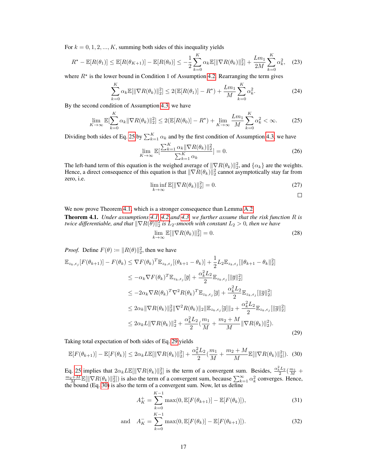For  $k = 0, 1, 2, ..., K$ , summing both sides of this inequality yields

$$
R^* - \mathbb{E}[R(\theta_1)] \le \mathbb{E}[R(\theta_{K+1})] - \mathbb{E}[R(\theta_0)] \le -\frac{1}{2} \sum_{k=0}^{K} \alpha_k \mathbb{E}[\|\nabla R(\theta_k)\|_2^2] + \frac{Lm_1}{2M} \sum_{k=0}^{K} \alpha_k^2, \quad (23)
$$

where  $R^*$  is the lower bound in Condition 1 of Assumption [4.2.](#page--1-1) Rearranging the term gives

$$
\sum_{k=0}^{K} \alpha_k \mathbb{E}[\|\nabla R(\theta_k)\|_2^2] \le 2(\mathbb{E}[R(\theta_1)] - R^*) + \frac{Lm_1}{M} \sum_{k=0}^{K} \alpha_k^2.
$$
 (24)

By the second condition of Assumption [4.3,](#page--1-3) we have

$$
\lim_{K \to \infty} \mathbb{E}[\sum_{k=0}^{K} \alpha_k \|\nabla R(\theta_k)\|_2^2] \le 2(\mathbb{E}[R(\theta_0)] - R^*) + \lim_{K \to \infty} \frac{Lm_1}{M} \sum_{k=0}^{K} \alpha_k^2 < \infty. \tag{25}
$$

Dividing both sides of Eq. [25](#page-1-0) by  $\sum_{k=1}^{K} \alpha_k$  and by the first condition of Assumption [4.3,](#page--1-3) we have

<span id="page-1-0"></span>
$$
\lim_{K \to \infty} \mathbb{E} \left[ \frac{\sum_{k=1}^{K} \alpha_k \|\nabla R(\theta_k)\|_2^2}{\sum_{k=1}^{K} \alpha_k} \right] = 0. \tag{26}
$$

The left-hand term of this equation is the weighed average of  $\|\nabla R(\theta_k)\|_2^2$ , and  $\{\alpha_k\}$  are the weights. Hence, a direct consequence of this equation is that  $\|\nabla R(\theta_k)\|_2^2$  cannot asymptotically stay far from zero, i.e.

$$
\liminf_{k \to \infty} \mathbb{E}[\|\nabla R(\theta_k)\|_2^2] = 0. \tag{27}
$$

<span id="page-1-1"></span> $\Box$ 

We now prove Theorem [4.1,](#page--1-4) which is a stronger consequence than Lemma [A.2.](#page-0-6) Theorem 4.1. *Under assumptions [4.1,](#page--1-0) [4.2](#page--1-1) and [4.3,](#page--1-3) we further assume that the risk function* R *is twice differentiable, and that*  $\|\nabla R(\theta)\|_2^2$  *is*  $L_2$ *-smooth with constant*  $L_2 > 0$ *, then we have* 

$$
\lim_{k \to \infty} \mathbb{E}[\|\nabla R(\theta_k)\|_2^2] = 0. \tag{28}
$$

*Proof.* Define  $F(\theta) := ||R(\theta)||_2^2$ , then we have

$$
\mathbb{E}_{z_k, \epsilon_j} [F(\theta_{k+1})] - F(\theta_k) \leq \nabla F(\theta_k)^T \mathbb{E}_{z_k, \epsilon_j} [(\theta_{k+1} - \theta_k)] + \frac{1}{2} L_2 \mathbb{E}_{z_k, \epsilon_j} [\|\theta_{k+1} - \theta_k\|_2^2]
$$
\n
$$
\leq -\alpha_k \nabla F(\theta_k)^T \mathbb{E}_{z_k, \epsilon_j} [\overline{g}] + \frac{\alpha_k^2 L_2}{2} \mathbb{E}_{z_k, \epsilon_j} [\|\overline{g}\|_2^2]
$$
\n
$$
\leq -2\alpha_k \nabla R(\theta_k)^T \nabla^2 R(\theta_k)^T \mathbb{E}_{z_k, \epsilon_j} [\overline{g}] + \frac{\alpha_k^2 L_2}{2} \mathbb{E}_{z_k, \epsilon_j} [\|\overline{g}\|_2^2]
$$
\n
$$
\leq 2\alpha_k \|\nabla R(\theta_k)\|_2^2 \|\nabla^2 R(\theta_k)\|_2 \|\mathbb{E}_{z_k, \epsilon_j} [\overline{g}]\|_2 + \frac{\alpha_k^2 L_2}{2} \mathbb{E}_{z_k, \epsilon_j} [\|\overline{g}\|_2^2]
$$
\n
$$
\leq 2\alpha_k L \|\nabla R(\theta_k)\|_2^2 + \frac{\alpha_k^2 L_2}{2} (\frac{m_1}{M} + \frac{m_2 + M}{M} \|\nabla R(\theta_k)\|_2^2).
$$
\n(29)

Taking total expectation of both sides of Eq. [29](#page-1-1) yields

$$
\mathbb{E}[F(\theta_{k+1})] - \mathbb{E}[F(\theta_k)] \le 2\alpha_k L \mathbb{E}[\|\nabla R(\theta_k)\|_2^2] + \frac{\alpha_k^2 L_2}{2} (\frac{m_1}{M} + \frac{m_2 + M}{M} \mathbb{E}[\|\nabla R(\theta_k)\|_2^2]).
$$
 (30)

Eq. [25](#page-1-0) implies that  $2\alpha_k L \mathbb{E}[\|\nabla R(\theta_k)\|_2^2]$  is the term of a convergent sum. Besides,  $\frac{\alpha_k^2 L_2}{2}(\frac{m_1}{M} + \frac{m_2+M}{M} \mathbb{E}[\|\nabla R(\theta_k)\|_2^2])$  is also the term of a convergent sum, because  $\sum_{k=1}^{\infty} \alpha_k^2$  conv the bound (Eq. [30\)](#page-1-2) is also the term of a convergent sum. Now, let us define

<span id="page-1-2"></span>
$$
A_K^+ = \sum_{k=0}^{K-1} \max(0, \mathbb{E}[F(\theta_{k+1})] - \mathbb{E}[F(\theta_k)]), \tag{31}
$$

and 
$$
A_K^- = \sum_{k=0}^{K-1} \max(0, \mathbb{E}[F(\theta_k)] - \mathbb{E}[F(\theta_{k+1})]).
$$
 (32)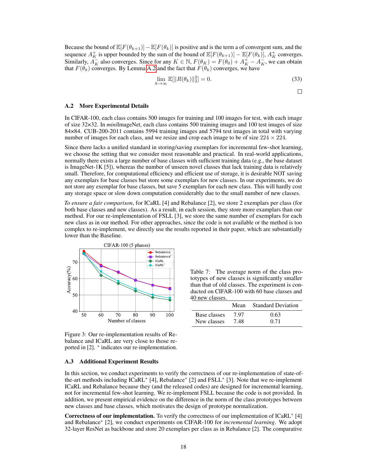Because the bound of  $\mathbb{E}[F(\theta_{k+1})]-\mathbb{E}[F(\theta_k)]$  is positive and is the term a of convergent sum, and the sequence  $A_K^+$  is upper bounded by the sum of the bound of  $\mathbb{E}[F(\theta_{k+1})] - \mathbb{E}[F(\theta_k)]$ ,  $A_K^+$  converges. Similarly,  $A_K^-$  also converges. Since for any  $K \in \mathbb{N}$ ,  $F(\theta_K) = F(\theta_0) + A_K^+ - A_K^-$ , we can obtain that  $F(\theta_k)$  converges. By Lemma [A.2](#page-0-6) and the fact that  $F(\theta_k)$  converges, we have

$$
\lim_{k \to \infty} \mathbb{E}[\|R(\theta_k)\|_2^2] = 0.
$$
\n(33)

 $\Box$ 

### A.2 More Experimental Details

In CIFAR-100, each class contains 500 images for training and 100 images for test, with each image of size 32×32. In *mini*ImageNet, each class contains 500 training images and 100 test images of size 84×84. CUB-200-2011 contains 5994 training images and 5794 test images in total with varying number of images for each class, and we resize and crop each image to be of size  $224 \times 224$ .

Since there lacks a unified standard in storing/saving exemplars for incremental few-shot learning, we choose the setting that we consider most reasonable and practical. In real-world applications, normally there exists a large number of base classes with sufficient training data (e.g., the base dataset is ImageNet-1K [5]), whereas the number of unseen novel classes that lack training data is relatively small. Therefore, for computational efficiency and efficient use of storage, it is desirable NOT saving any exemplars for base classes but store some exemplars for new classes. In our experiments, we do not store any exemplar for base classes, but save 5 exemplars for each new class. This will hardly cost any storage space or slow down computation considerably due to the small number of new classes.

*To ensure a fair comparison*, for ICaRL [4] and Rebalance [2], we store 2 exemplars per class (for both base classes and new classes). As a result, in each session, they store more examplars than our method. For our re-implementation of FSLL [3], we store the same number of exemplars for each new class as in our method. For other approaches, since the code is not available or the method is too complex to re-implement, we directly use the results reported in their paper, which are substantially lower than the Baseline.



<span id="page-2-0"></span>Figure 3: Our re-implementation results of Rebalance and ICaRL are very close to those reported in [2]. \* indicates our re-implementation.

#### A.3 Additional Experiment Results

In this section, we conduct experiments to verify the correctness of our re-implementation of state-ofthe-art methods including ICaRL<sup>∗</sup> [4], Rebalance<sup>∗</sup> [2] and FSLL<sup>∗</sup> [3]. Note that we re-implement ICaRL and Rebalance because they (and the released codes) are designed for incremental learning, not for incremental few-shot learning. We re-implement FSLL because the code is not provided. In addition, we present empirical evidence on the difference in the norm of the class prototypes between new classes and base classes, which motivates the design of prototype normalization.

Correctness of our implementation. To verify the correctness of our implementation of ICaRL<sup>\*</sup> [4] and Rebalance<sup>∗</sup> [2], we conduct experiments on CIFAR-100 for *incremental learning*. We adopt 32-layer ResNet as backbone and store 20 exemplars per class as in Rebalance [2]. The comparative

<span id="page-2-1"></span>Table 7: The average norm of the class prototypes of new classes is significantly smaller than that of old classes. The experiment is conducted on CIFAR-100 with 60 base classes and 40 new classes.

|                             | Mean        | <b>Standard Deviation</b> |
|-----------------------------|-------------|---------------------------|
| Base classes<br>New classes | 797<br>7.48 | 0.63<br>0.71              |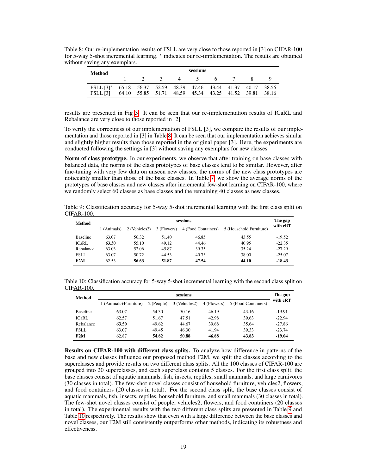<span id="page-3-0"></span>

| Method                                                          |                          |  | sessions |             |                                                       |  |
|-----------------------------------------------------------------|--------------------------|--|----------|-------------|-------------------------------------------------------|--|
|                                                                 | $\overline{\phantom{a}}$ |  |          | 3 4 5 6 7 8 |                                                       |  |
| FSLL [3]* 65.18 56.37 52.59 48.39 47.46 43.44 41.37 40.17 38.56 |                          |  |          |             |                                                       |  |
| FSLL [3]                                                        |                          |  |          |             | 64.10 55.85 51.71 48.59 45.34 43.25 41.52 39.81 38.16 |  |

Table 8: Our re-implementation results of FSLL are very close to those reported in [3] on CIFAR-100 for 5-way 5-shot incremental learning. <sup>\*</sup> indicates our re-implementation. The results are obtained without saving any exemplars.

results are presented in Fig [3.](#page-2-0) It can be seen that our re-implementation results of ICaRL and Rebalance are very close to those reported in [2].

To verify the correctness of our implementation of FSLL [3], we compare the results of our implementation and those reported in [3] in Table [8.](#page-3-0) It can be seen that our implementation achieves similar and slightly higher results than those reported in the original paper [3]. Here, the experiments are conducted following the settings in [3] without saving any exemplars for new classes.

Norm of class prototype. In our experiments, we observe that after training on base classes with balanced data, the norms of the class prototypes of base classes tend to be similar. However, after fine-tuning with very few data on unseen new classes, the norms of the new class prototypes are noticeably smaller than those of the base classes. In Table [7,](#page-2-1) we show the average norms of the prototypes of base classes and new classes after incremental few-shot learning on CIFAR-100, where we randomly select 60 classes as base classes and the remaining 40 classes as new classes.

Table 9: Classification accuracy for 5-way 5-shot incremental learning with the first class split on CIFAR-100.

<span id="page-3-1"></span>

| Method          | sessions    |               |             |                     |                         |          |  |  |  |  |  |
|-----------------|-------------|---------------|-------------|---------------------|-------------------------|----------|--|--|--|--|--|
|                 | 1 (Animals) | 2 (Vehicles2) | 3 (Flowers) | 4 (Food Containers) | 5 (Household Furniture) | with cRT |  |  |  |  |  |
| <b>Baseline</b> | 63.07       | 56.32         | 51.40       | 46.85               | 43.55                   | $-19.52$ |  |  |  |  |  |
| <b>ICaRL</b>    | 63.30       | 55.10         | 49.12       | 44.46               | 40.95                   | $-22.35$ |  |  |  |  |  |
| Rebalance       | 63.03       | 52.06         | 45.87       | 39.35               | 35.24                   | $-27.29$ |  |  |  |  |  |
| FSLL.           | 63.07       | 50.72         | 44.53       | 40.73               | 38.00                   | $-25.07$ |  |  |  |  |  |
| F2M             | 62.53       | 56.63         | 51.87       | 47.54               | 44.10                   | $-18.43$ |  |  |  |  |  |

Table 10: Classification accuracy for 5-way 5-shot incremental learning with the second class split on CIFAR-100.

<span id="page-3-2"></span>

| Method          | sessions              |            |               |             |                     |          |  |  |  |  |  |
|-----------------|-----------------------|------------|---------------|-------------|---------------------|----------|--|--|--|--|--|
|                 | 1 (Animals+Furniture) | 2 (People) | 3 (Vehicles2) | 4 (Flowers) | 5 (Food Containers) | with cRT |  |  |  |  |  |
| <b>Baseline</b> | 63.07                 | 54.30      | 50.16         | 46.19       | 43.16               | $-19.91$ |  |  |  |  |  |
| ICaRL           | 62.57                 | 51.67      | 47.51         | 42.98       | 39.63               | $-22.94$ |  |  |  |  |  |
| Rebalance       | 63.50                 | 49.62      | 44.67         | 39.68       | 35.64               | $-27.86$ |  |  |  |  |  |
| <b>FSLL</b>     | 63.07                 | 49.45      | 46.30         | 41.94       | 39.33               | $-23.74$ |  |  |  |  |  |
| F2M             | 62.87                 | 54.82      | 50.88         | 46.88       | 43.83               | $-19.04$ |  |  |  |  |  |

Results on CIFAR-100 with different class splits. To analyze how difference in patterns of the base and new classes influence our proposed method F2M, we split the classes according to the superclasses and provide results on two different class splits. All the 100 classes of CIFAR-100 are grouped into 20 superclasses, and each superclass contains 5 classes. For the first class split, the base classes consist of aquatic mammals, fish, insects, reptiles, small mammals, and large carnivores (30 classes in total). The few-shot novel classes consist of household furniture, vehicles2, flowers, and food containers (20 classes in total). For the second class split, the base classes consist of aquatic mammals, fish, insects, reptiles, household furniture, and small mammals (30 classes in total). The few-shot novel classes consist of people, vehicles2, flowers, and food containers (20 classes in total). The experimental results with the two different class splits are presented in Table [9](#page-3-1) and Table [10](#page-3-2) respectively. The results show that even with a large difference between the base classes and novel classes, our F2M still consistently outperforms other methods, indicating its robustness and effectiveness.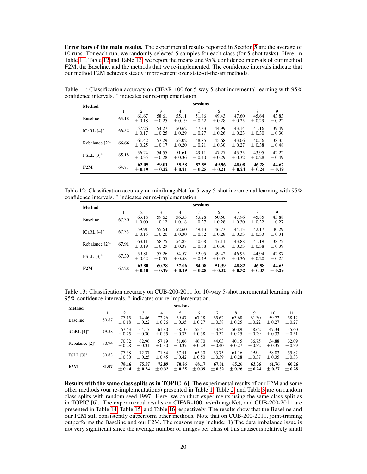Error bars of the main results. The experimental results reported in Section [5](#page--1-5) are the average of 10 runs. For each run, we randomly selected 5 samples for each class (for 5-shot tasks). Here, in Table [11,](#page-4-0) Table [12](#page-4-1) and Table [13,](#page-4-2) we report the means and 95% confidence intervals of our method F2M, the Baseline, and the methods that we re-implemented. The confidence intervals indicate that our method F2M achieves steady improvement over state-of-the-art methods.

Table 11: Classification accuracy on CIFAR-100 for 5-way 5-shot incremental learning with 95% confidence intervals. <sup>∗</sup> indicates our re-implementation.

<span id="page-4-0"></span>

| Method            |       |                     |                     |                     | sessions            |                     |                     |                     |                     |
|-------------------|-------|---------------------|---------------------|---------------------|---------------------|---------------------|---------------------|---------------------|---------------------|
|                   |       | $\overline{2}$      | 3                   | $\overline{4}$      | 5                   | 6                   | 7                   | 8                   | 9                   |
| <b>Baseline</b>   | 65.18 | 61.67<br>$\pm 0.18$ | 58.61<br>$\pm 0.25$ | 55.11<br>$\pm 0.19$ | 51.86<br>$\pm$ 0.22 | 49.43<br>$\pm 0.28$ | 47.60<br>$\pm 0.25$ | 45.64<br>$\pm 0.29$ | 43.83<br>$\pm$ 0.22 |
| $iCaRL$ [4]*      | 66.52 | 57.26<br>$\pm 0.17$ | 54.27<br>$\pm$ 0.25 | 50.62<br>$\pm 0.29$ | 47.33<br>$\pm 0.27$ | 44.99<br>$\pm 0.26$ | 43.14<br>$\pm$ 0.23 | 41.16<br>$\pm 0.30$ | 39.49<br>$\pm 0.30$ |
| Rebalance $[2]^*$ | 66.66 | 61.42<br>$\pm 0.25$ | 57.29<br>$+0.17$    | 53.02<br>$+0.20$    | 48.85<br>$\pm 0.21$ | 45.68<br>$\pm 0.30$ | 43.06<br>$\pm 0.27$ | 40.56<br>$\pm 0.38$ | 38.35<br>$\pm 0.48$ |
| $FSLL [3]^*$      | 65.18 | 56.24<br>$\pm 0.35$ | 54.55<br>$+0.28$    | 51.61<br>$+0.36$    | 49.11<br>$+0.40$    | 47.27<br>$+0.29$    | 45.35<br>$+0.32$    | 43.95<br>$+0.28$    | 42.22<br>$\pm 0.49$ |
| F2M               | 64.71 | 62.05<br>± 0.19     | 59.01<br>$\pm 0.22$ | 55.58<br>$\pm 0.21$ | 52.55<br>$\pm$ 0.25 | 49.96<br>$\pm 0.21$ | 48.08<br>$\pm 0.24$ | 46.28<br>$\pm 0.24$ | 44.67<br>$\pm 0.19$ |

Table 12: Classification accuracy on miniImageNet for 5-way 5-shot incremental learning with 95% confidence intervals. <sup>∗</sup> indicates our re-implementation.

<span id="page-4-1"></span>

| Method            |       |                     |                     |                     | sessions            |                     |                     |                     |                     |
|-------------------|-------|---------------------|---------------------|---------------------|---------------------|---------------------|---------------------|---------------------|---------------------|
|                   | 1     | $\overline{2}$      | 3                   | $\overline{4}$      | 5                   | 6                   | 7                   | 8                   | 9                   |
| <b>Baseline</b>   | 67.30 | 63.18<br>$\pm 0.00$ | 59.62<br>$\pm$ 0.12 | 56.33<br>$\pm 0.18$ | 53.28<br>$\pm 0.27$ | 50.50<br>$\pm 0.28$ | 47.96<br>$\pm 0.30$ | 45.85<br>$\pm 0.32$ | 43.88<br>$\pm 0.27$ |
| $iCaRL$ [4] $*$   | 67.35 | 59.91<br>$\pm$ 0.15 | 55.64<br>$\pm 0.20$ | 52.60<br>$\pm 0.30$ | 49.43<br>$\pm 0.32$ | 46.73<br>$\pm 0.28$ | 44.13<br>$\pm 0.33$ | 42.17<br>$\pm 0.33$ | 40.29<br>$\pm 0.31$ |
| Rebalance $[2]^*$ | 67.91 | 63.11<br>$\pm 0.19$ | 58.75<br>$+0.29$    | 54.83<br>$+0.37$    | 50.68<br>$\pm 0.38$ | 47.11<br>$\pm 0.36$ | 43.88<br>$\pm 0.33$ | 41.19<br>$\pm 0.38$ | 38.72<br>$\pm 0.39$ |
| $FSLL [3]^*$      | 67.30 | 59.81<br>$\pm 0.42$ | 57.26<br>$\pm 0.55$ | 54.57<br>$\pm 0.58$ | 52.05<br>$\pm 0.49$ | 49.42<br>$\pm 0.37$ | 46.95<br>$\pm 0.36$ | 44.94<br>$\pm 0.20$ | 42.87<br>$\pm 0.25$ |
| F2M               | 67.28 | 63.80<br>$\pm 0.10$ | 60.38<br>$\pm$ 0.19 | 57.06<br>$\pm$ 0.29 | 54.08<br>$\pm$ 0.28 | 51.39<br>$\pm 0.32$ | 48.82<br>$\pm$ 0.32 | 46.58<br>$\pm 0.33$ | 44.65<br>$\pm 0.29$ |

<span id="page-4-2"></span>Table 13: Classification accuracy on CUB-200-2011 for 10-way 5-shot incremental learning with 95% confidence intervals. \* indicates our re-implementation.

| Method           |       |                     |                     |                     | sessions            |                     |                     |                     |                     |                     |                     |
|------------------|-------|---------------------|---------------------|---------------------|---------------------|---------------------|---------------------|---------------------|---------------------|---------------------|---------------------|
|                  |       | 2                   | 3                   | 4                   | 5                   | 6                   |                     | 8                   | 9                   | 10                  | 11                  |
| <b>Baseline</b>  | 80.87 | 77.15<br>$\pm 0.18$ | 74.46<br>$\pm 0.22$ | 72.26<br>$\pm 0.26$ | 69.47<br>± 0.35     | 67.18<br>$\pm 0.27$ | 65.62<br>$\pm 0.38$ | 63.68<br>$\pm 0.25$ | 61.30<br>$\pm 0.22$ | 59.72<br>$\pm 0.27$ | 58.12<br>$\pm 0.27$ |
| iCaRL [4]*       | 79.58 | 67.63<br>$\pm 0.25$ | 64.17<br>$\pm 0.30$ | 61.80<br>$\pm 0.35$ | 58.10<br>$+0.33$    | 55.51<br>$\pm 0.38$ | 53.34<br>$\pm 0.32$ | 50.89<br>$+0.25$    | 48.62<br>$+0.29$    | 47.34<br>$\pm 0.33$ | 45.60<br>$\pm 0.31$ |
| Rebalance [2]*   | 80.94 | 70.32<br>$\pm 0.28$ | 62.96<br>$\pm 0.31$ | 57.19<br>$\pm 0.30$ | 51.06<br>$\pm 0.37$ | 46.70<br>$\pm 0.29$ | 44.03<br>$\pm 0.40$ | 40.15<br>$+0.27$    | 36.75<br>$\pm 0.32$ | 34.88<br>$\pm 0.35$ | 32.09<br>$\pm 0.39$ |
| <b>FSLL</b> [3]* | 80.83 | 77.38<br>$\pm 0.30$ | 72.37<br>$\pm 0.25$ | 71.84<br>$\pm 0.45$ | 67.51<br>$\pm 0.42$ | 65.30<br>$\pm 0.50$ | 63.75<br>$\pm 0.39$ | 61.16<br>$\pm 0.28$ | 59.05<br>$\pm 0.37$ | 58.03<br>$\pm 0.35$ | 55.82<br>$\pm 0.33$ |
| F2M              | 81.07 | 78.16<br>$\pm$ 0.14 | 75.57<br>$\pm$ 0.24 | 72.89<br>$\pm 0.32$ | 70.86<br>$\pm 0.25$ | 68.17<br>$\pm 0.39$ | 67.01<br>$\pm 0.32$ | 65.26<br>$\pm 0.26$ | 63.36<br>$\pm 0.24$ | 61.76<br>$\pm$ 0.27 | 60.26<br>$\pm 0.28$ |

Results with the same class splits as in TOPIC [6]. The experimental results of our F2M and some other methods (our re-implementations) presented in Table [1,](#page--1-6) Table [2,](#page--1-7) and Table [3](#page--1-8) are on random class splits with random seed 1997. Here, we conduct experiments using the same class split as in TOPIC [6]. The experimental results on CIFAR-100, *miniImageNet*, and CUB-200-2011 are presented in Table [14,](#page-5-0) Table [15,](#page-5-1) and Table [16](#page-5-2) respectively. The results show that the Baseline and our F2M still consistently outperform other methods. Note that on CUB-200-2011, joint-training outperforms the Baseline and our F2M. The reasons may include: 1) The data imbalance issue is not very significant since the average number of images per class of this dataset is relatively small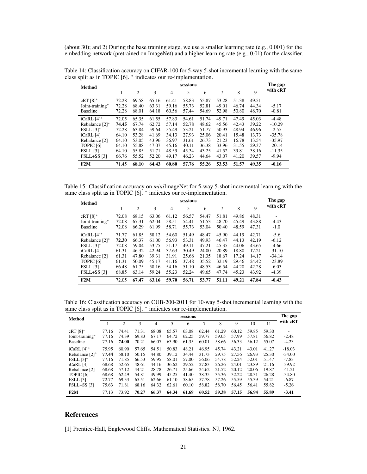(about 30); and 2) During the base training stage, we use a smaller learning rate (e.g., 0.001) for the embedding network (pretrained on ImageNet) and a higher learning rate (e.g., 0.01) for the classifier.

<span id="page-5-0"></span>

| <b>Method</b>   | sessions |       |       |       |       |       |                |       |       |          |  |  |
|-----------------|----------|-------|-------|-------|-------|-------|----------------|-------|-------|----------|--|--|
|                 |          | 2     | 3     | 4     | 5     | 6     | $\overline{7}$ | 8     | 9     | with cRT |  |  |
| $cRT$ [8]*      | 72.28    | 69.58 | 65.16 | 61.41 | 58.83 | 55.87 | 53.28          | 51.38 | 49.51 |          |  |  |
| Joint-training* | 72.28    | 68.40 | 63.31 | 59.16 | 55.73 | 52.81 | 49.01          | 46.74 | 44.34 | $-5.17$  |  |  |
| <b>Baseline</b> | 72.28    | 68.01 | 64.18 | 60.56 | 57.44 | 54.69 | 52.98          | 50.80 | 48.70 | $-0.81$  |  |  |
| $iCaRL$ [4] $*$ | 72.05    | 65.35 | 61.55 | 57.83 | 54.61 | 51.74 | 49.71          | 47.49 | 45.03 | $-4.48$  |  |  |
| Rebalance [2]*  | 74.45    | 67.74 | 62.72 | 57.14 | 52.78 | 48.62 | 45.56          | 42.43 | 39.22 | $-10.29$ |  |  |
| $FSLL [3]^*$    | 72.28    | 63.84 | 59.64 | 55.49 | 53.21 | 51.77 | 50.93          | 48.94 | 46.96 | $-2.55$  |  |  |
| iCaRL [4]       | 64.10    | 53.28 | 41.69 | 34.13 | 27.93 | 25.06 | 20.41          | 15.48 | 13.73 | $-35.78$ |  |  |
| Rebalance [2]   | 64.10    | 53.05 | 43.96 | 36.97 | 31.61 | 26.73 | 21.23          | 16.78 | 13.54 | $-35.97$ |  |  |
| TOPIC [6]       | 64.10    | 55.88 | 47.07 | 45.16 | 40.11 | 36.38 | 33.96          | 31.55 | 29.37 | $-20.14$ |  |  |
| <b>FSLL</b> [3] | 64.10    | 55.85 | 51.71 | 48.59 | 45.34 | 43.25 | 41.52          | 39.81 | 38.16 | $-11.35$ |  |  |
| FSLL+SS [3]     | 66.76    | 55.52 | 52.20 | 49.17 | 46.23 | 44.64 | 43.07          | 41.20 | 39.57 | $-9.94$  |  |  |
| F2M             | 71.45    | 68.10 | 64.43 | 60.80 | 57.76 | 55.26 | 53.53          | 51.57 | 49.35 | $-0.16$  |  |  |

Table 14: Classification accuracy on CIFAR-100 for 5-way 5-shot incremental learning with the same class split as in TOPIC [6]. <sup>∗</sup> indicates our re-implementation.

Table 15: Classification accuracy on *mini*ImageNet for 5-way 5-shot incremental learning with the same class split as in TOPIC [6]. \* indicates our re-implementation.

<span id="page-5-1"></span>

| Method          | sessions |                |       |       |       |       |        |       |       |          |  |
|-----------------|----------|----------------|-------|-------|-------|-------|--------|-------|-------|----------|--|
|                 | 1        | $\overline{2}$ | 3     | 4     | 5     | 6     | $\tau$ | 8     | 9     | with cRT |  |
| $cRT$ [8]*      | 72.08    | 68.15          | 63.06 | 61.12 | 56.57 | 54.47 | 51.81  | 49.86 | 48.31 | ۰        |  |
| Joint-training* | 72.08    | 67.31          | 62.04 | 58.51 | 54.41 | 51.53 | 48.70  | 45.49 | 43.88 | $-4.43$  |  |
| <b>Baseline</b> | 72.08    | 66.29          | 61.99 | 58.71 | 55.73 | 53.04 | 50.40  | 48.59 | 47.31 | $-1.0$   |  |
| $iCaRL$ [4] $*$ | 71.77    | 61.85          | 58.12 | 54.60 | 51.49 | 48.47 | 45.90  | 44.19 | 42.71 | $-5.6$   |  |
| Rebalance [2]*  | 72.30    | 66.37          | 61.00 | 56.93 | 53.31 | 49.93 | 46.47  | 44.13 | 42.19 | $-6.12$  |  |
| $FSLL [3]^*$    | 72.08    | 59.04          | 53.75 | 51.17 | 49.11 | 47.21 | 45.35  | 44.06 | 43.65 | $-4.66$  |  |
| $iCaRL$ [4]     | 61.31    | 46.32          | 42.94 | 37.63 | 30.49 | 24.00 | 20.89  | 18.80 | 17.21 | $-31.10$ |  |
| Rebalance [2]   | 61.31    | 47.80          | 39.31 | 31.91 | 25.68 | 21.35 | 18.67  | 17.24 | 14.17 | $-34.14$ |  |
| TOPIC [6]       | 61.31    | 50.09          | 45.17 | 41.16 | 37.48 | 35.52 | 32.19  | 29.46 | 24.42 | $-23.89$ |  |
| <b>FSLL</b> [3] | 66.48    | 61.75          | 58.16 | 54.16 | 51.10 | 48.53 | 46.54  | 44.20 | 42.28 | $-6.03$  |  |
| FSLL+SS [3]     | 68.85    | 63.14          | 59.24 | 55.23 | 52.24 | 49.65 | 47.74  | 45.23 | 43.92 | $-4.39$  |  |
| F2M             | 72.05    | 67.47          | 63.16 | 59.70 | 56.71 | 53.77 | 51.11  | 49.21 | 47.84 | $-0.43$  |  |

<span id="page-5-2"></span>Table 16: Classification accuracy on CUB-200-2011 for 10-way 5-shot incremental learning with the same class split as in TOPIC [6]. \* indicates our re-implementation.

| Method               |       |       |       |       |       | sessions |       |       |       |       |       | The gap  |
|----------------------|-------|-------|-------|-------|-------|----------|-------|-------|-------|-------|-------|----------|
|                      | 1     | 2     | 3     | 4     | 5     | 6        | 7     | 8     | 9     | 10    | 11    | with cRT |
| $cRT$ [8]*           | 77.16 | 74.41 | 71.31 | 68.08 | 65.57 | 63.08    | 62.44 | 61.29 | 60.12 | 59.85 | 59.30 |          |
| Joint-training*      | 77.16 | 74.39 | 69.83 | 67.17 | 64.72 | 62.25    | 59.77 | 59.05 | 57.99 | 57.81 | 56.82 | $-2.48$  |
| <b>Baseline</b>      | 77.16 | 74.00 | 70.21 | 66.07 | 63.90 | 61.35    | 60.01 | 58.66 | 56.33 | 56.12 | 55.07 | $-4.23$  |
| $iCaRL$ [4]*         | 75.95 | 60.90 | 57.65 | 54.51 | 50.83 | 48.21    | 46.95 | 45.74 | 43.21 | 43.01 | 41.27 | $-18.03$ |
| Rebalance $[2]^*$    | 77.44 | 58.10 | 50.15 | 44.80 | 39.12 | 34.44    | 31.73 | 29.75 | 27.56 | 26.93 | 25.30 | $-34.00$ |
| $FSLL [3]^*$         | 77.16 | 71.85 | 66.53 | 59.95 | 58.01 | 57.00    | 56.06 | 54.78 | 52.24 | 52.01 | 51.47 | $-7.83$  |
| iCaRL [4]            | 68.68 | 52.65 | 48.61 | 44.16 | 36.62 | 29.52    | 27.83 | 26.26 | 24.01 | 23.89 | 21.16 | $-39.92$ |
| Rebalance [2]        | 68.68 | 57.12 | 44.21 | 28.78 | 26.71 | 25.66    | 24.62 | 21.52 | 20.12 | 20.06 | 19.87 | $-41.21$ |
| TOPIC <sub>[6]</sub> | 68.68 | 62.49 | 54.81 | 49.99 | 45.25 | 41.40    | 38.35 | 35.36 | 32.22 | 28.31 | 26.28 | $-34.80$ |
| <b>FSLL</b> [3]      | 72.77 | 69.33 | 65.51 | 62.66 | 61.10 | 58.65    | 57.78 | 57.26 | 55.59 | 55.39 | 54.21 | $-6.87$  |
| $FSLL+SS$ [3]        | 75.63 | 71.81 | 68.16 | 64.32 | 62.61 | 60.10    | 58.82 | 58.70 | 56.45 | 56.41 | 55.82 | $-5.26$  |
| F2M                  | 77.13 | 73.92 | 70.27 | 66.37 | 64.34 | 61.69    | 60.52 | 59.38 | 57.15 | 56.94 | 55.89 | $-3.41$  |

# References

[1] Prentice-Hall, Englewood Cliffs. Mathematical Statistics. NJ, 1962.